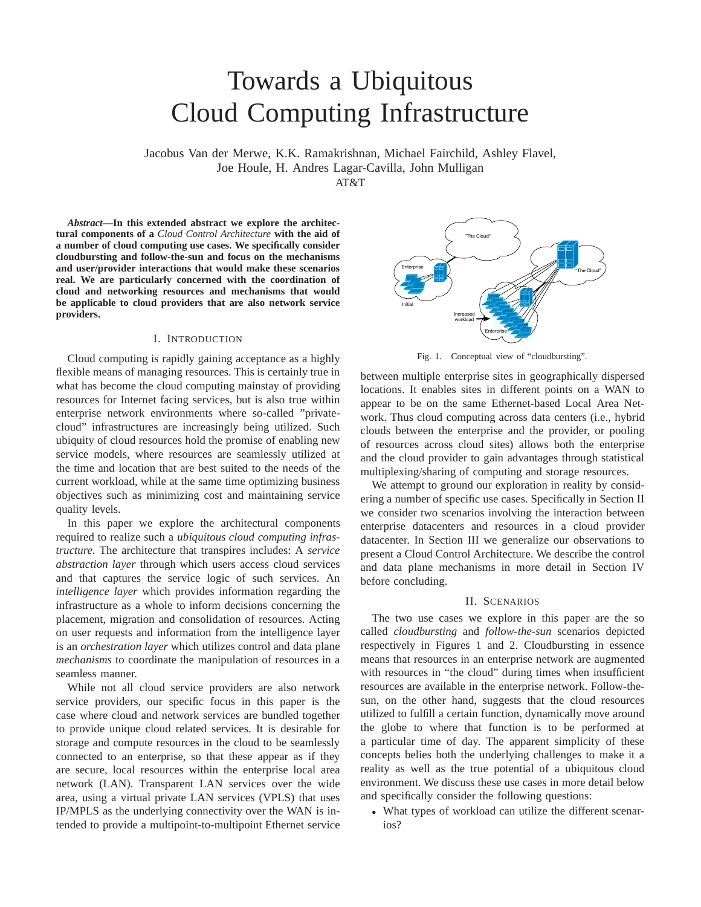# Towards a Ubiquitous Cloud Computing Infrastructure

Jacobus Van der Merwe, K.K. Ramakrishnan, Michael Fairchild, Ashley Flavel, Joe Houle, H. Andres Lagar-Cavilla, John Mulligan

 $AT&T$ 

*Abstract***—In this extended abstract we explore the architectural components of a** *Cloud Control Architecture* **with the aid of a number of cloud computing use cases. We specifically consider cloudbursting and follow-the-sun and focus on the mechanisms and user/provider interactions that would make these scenarios real. We are particularly concerned with the coordination of cloud and networking resources and mechanisms that would be applicable to cloud providers that are also network service providers.**

## I. INTRODUCTION

Cloud computing is rapidly gaining acceptance as a highly flexible means of managing resources. This is certainly true in what has become the cloud computing mainstay of providing resources for Internet facing services, but is also true within enterprise network environments where so-called "privatecloud" infrastructures are increasingly being utilized. Such ubiquity of cloud resources hold the promise of enabling new service models, where resources are seamlessly utilized at the time and location that are best suited to the needs of the current workload, while at the same time optimizing business objectives such as minimizing cost and maintaining service quality levels.

In this paper we explore the architectural components required to realize such a *ubiquitous cloud computing infrastructure*. The architecture that transpires includes: A *service abstraction layer* through which users access cloud services and that captures the service logic of such services. An *intelligence layer* which provides information regarding the infrastructure as a whole to inform decisions concerning the placement, migration and consolidation of resources. Acting on user requests and information from the intelligence layer is an *orchestration layer* which utilizes control and data plane *mechanisms* to coordinate the manipulation of resources in a seamless manner.

While not all cloud service providers are also network service providers, our specific focus in this paper is the case where cloud and network services are bundled together to provide unique cloud related services. It is desirable for storage and compute resources in the cloud to be seamlessly connected to an enterprise, so that these appear as if they are secure, local resources within the enterprise local area network (LAN). Transparent LAN services over the wide area, using a virtual private LAN services (VPLS) that uses IP/MPLS as the underlying connectivity over the WAN is intended to provide a multipoint-to-multipoint Ethernet service



Fig. 1. Conceptual view of "cloudbursting".

between multiple enterprise sites in geographically dispersed locations. It enables sites in different points on a WAN to appear to be on the same Ethernet-based Local Area Network. Thus cloud computing across data centers (i.e., hybrid clouds between the enterprise and the provider, or pooling of resources across cloud sites) allows both the enterprise and the cloud provider to gain advantages through statistical multiplexing/sharing of computing and storage resources.

We attempt to ground our exploration in reality by considering a number of specific use cases. Specifically in Section II we consider two scenarios involving the interaction between enterprise datacenters and resources in a cloud provider datacenter. In Section III we generalize our observations to present a Cloud Control Architecture. We describe the control and data plane mechanisms in more detail in Section IV before concluding.

#### II. SCENARIOS

The two use cases we explore in this paper are the so called *cloudbursting* and *follow-the-sun* scenarios depicted respectively in Figures 1 and 2. Cloudbursting in essence means that resources in an enterprise network are augmented with resources in "the cloud" during times when insufficient resources are available in the enterprise network. Follow-thesun, on the other hand, suggests that the cloud resources utilized to fulfill a certain function, dynamically move around the globe to where that function is to be performed at a particular time of day. The apparent simplicity of these concepts belies both the underlying challenges to make it a reality as well as the true potential of a ubiquitous cloud environment. We discuss these use cases in more detail below and specifically consider the following questions:

• What types of workload can utilize the different scenarios?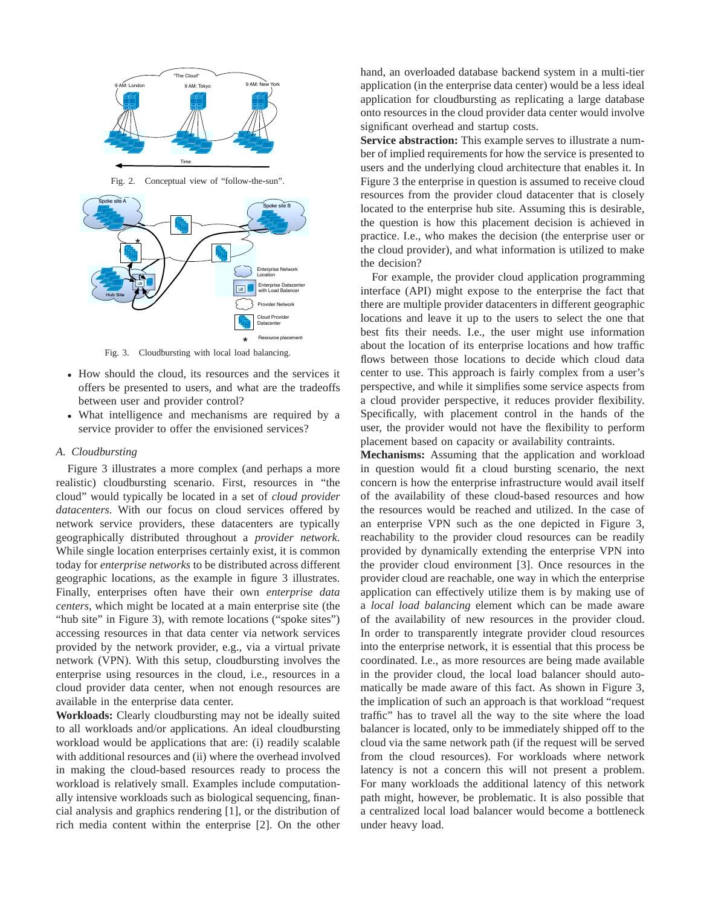

Fig. 2. Conceptual view of "follow-the-sun".



- How should the cloud, its resources and the services it offers be presented to users, and what are the tradeoffs between user and provider control?
- What intelligence and mechanisms are required by a service provider to offer the envisioned services?

## *A. Cloudbursting*

Figure 3 illustrates a more complex (and perhaps a more realistic) cloudbursting scenario. First, resources in "the cloud" would typically be located in a set of *cloud provider datacenters*. With our focus on cloud services offered by network service providers, these datacenters are typically geographically distributed throughout a *provider network*. While single location enterprises certainly exist, it is common today for *enterprise networks* to be distributed across different geographic locations, as the example in figure 3 illustrates. Finally, enterprises often have their own *enterprise data centers*, which might be located at a main enterprise site (the "hub site" in Figure 3), with remote locations ("spoke sites") accessing resources in that data center via network services provided by the network provider, e.g., via a virtual private network (VPN). With this setup, cloudbursting involves the enterprise using resources in the cloud, i.e., resources in a cloud provider data center, when not enough resources are available in the enterprise data center.

**Workloads:** Clearly cloudbursting may not be ideally suited to all workloads and/or applications. An ideal cloudbursting workload would be applications that are: (i) readily scalable with additional resources and (ii) where the overhead involved in making the cloud-based resources ready to process the workload is relatively small. Examples include computationally intensive workloads such as biological sequencing, financial analysis and graphics rendering [1], or the distribution of rich media content within the enterprise [2]. On the other

hand, an overloaded database backend system in a multi-tier application (in the enterprise data center) would be a less ideal application for cloudbursting as replicating a large database onto resources in the cloud provider data center would involve significant overhead and startup costs.

**Service abstraction:** This example serves to illustrate a number of implied requirements for how the service is presented to users and the underlying cloud architecture that enables it. In Figure 3 the enterprise in question is assumed to receive cloud resources from the provider cloud datacenter that is closely located to the enterprise hub site. Assuming this is desirable, the question is how this placement decision is achieved in practice. I.e., who makes the decision (the enterprise user or the cloud provider), and what information is utilized to make the decision?

For example, the provider cloud application programming interface (API) might expose to the enterprise the fact that there are multiple provider datacenters in different geographic locations and leave it up to the users to select the one that best fits their needs. I.e., the user might use information about the location of its enterprise locations and how traffic flows between those locations to decide which cloud data center to use. This approach is fairly complex from a user's perspective, and while it simplifies some service aspects from a cloud provider perspective, it reduces provider flexibility. Specifically, with placement control in the hands of the user, the provider would not have the flexibility to perform placement based on capacity or availability contraints.

**Mechanisms:** Assuming that the application and workload in question would fit a cloud bursting scenario, the next concern is how the enterprise infrastructure would avail itself of the availability of these cloud-based resources and how the resources would be reached and utilized. In the case of an enterprise VPN such as the one depicted in Figure 3, reachability to the provider cloud resources can be readily provided by dynamically extending the enterprise VPN into the provider cloud environment [3]. Once resources in the provider cloud are reachable, one way in which the enterprise application can effectively utilize them is by making use of a *local load balancing* element which can be made aware of the availability of new resources in the provider cloud. In order to transparently integrate provider cloud resources into the enterprise network, it is essential that this process be coordinated. I.e., as more resources are being made available in the provider cloud, the local load balancer should automatically be made aware of this fact. As shown in Figure 3, the implication of such an approach is that workload "request traffic" has to travel all the way to the site where the load balancer is located, only to be immediately shipped off to the cloud via the same network path (if the request will be served from the cloud resources). For workloads where network latency is not a concern this will not present a problem. For many workloads the additional latency of this network path might, however, be problematic. It is also possible that a centralized local load balancer would become a bottleneck under heavy load.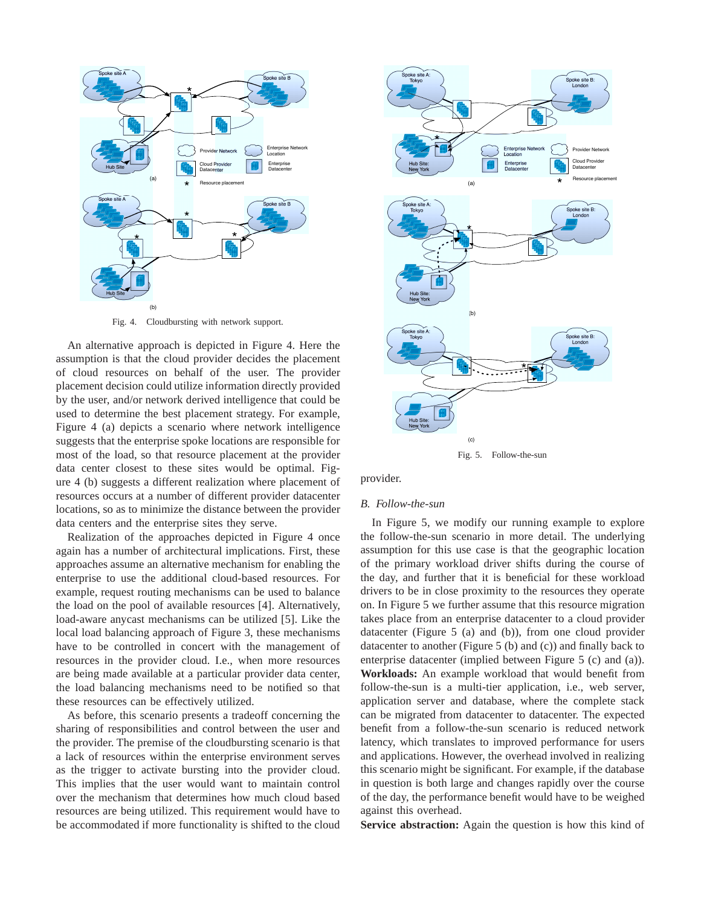

Fig. 4. Cloudbursting with network support.

An alternative approach is depicted in Figure 4. Here the assumption is that the cloud provider decides the placement of cloud resources on behalf of the user. The provider placement decision could utilize information directly provided by the user, and/or network derived intelligence that could be used to determine the best placement strategy. For example, Figure 4 (a) depicts a scenario where network intelligence suggests that the enterprise spoke locations are responsible for most of the load, so that resource placement at the provider data center closest to these sites would be optimal. Figure 4 (b) suggests a different realization where placement of resources occurs at a number of different provider datacenter locations, so as to minimize the distance between the provider data centers and the enterprise sites they serve.

Realization of the approaches depicted in Figure 4 once again has a number of architectural implications. First, these approaches assume an alternative mechanism for enabling the enterprise to use the additional cloud-based resources. For example, request routing mechanisms can be used to balance the load on the pool of available resources [4]. Alternatively, load-aware anycast mechanisms can be utilized [5]. Like the local load balancing approach of Figure 3, these mechanisms have to be controlled in concert with the management of resources in the provider cloud. I.e., when more resources are being made available at a particular provider data center, the load balancing mechanisms need to be notified so that these resources can be effectively utilized.

As before, this scenario presents a tradeoff concerning the sharing of responsibilities and control between the user and the provider. The premise of the cloudbursting scenario is that a lack of resources within the enterprise environment serves as the trigger to activate bursting into the provider cloud. This implies that the user would want to maintain control over the mechanism that determines how much cloud based resources are being utilized. This requirement would have to be accommodated if more functionality is shifted to the cloud



provider.

## *B. Follow-the-sun*

In Figure 5, we modify our running example to explore the follow-the-sun scenario in more detail. The underlying assumption for this use case is that the geographic location of the primary workload driver shifts during the course of the day, and further that it is beneficial for these workload drivers to be in close proximity to the resources they operate on. In Figure 5 we further assume that this resource migration takes place from an enterprise datacenter to a cloud provider datacenter (Figure 5 (a) and (b)), from one cloud provider datacenter to another (Figure 5 (b) and (c)) and finally back to enterprise datacenter (implied between Figure 5 (c) and (a)). **Workloads:** An example workload that would benefit from follow-the-sun is a multi-tier application, i.e., web server, application server and database, where the complete stack can be migrated from datacenter to datacenter. The expected benefit from a follow-the-sun scenario is reduced network latency, which translates to improved performance for users and applications. However, the overhead involved in realizing this scenario might be significant. For example, if the database in question is both large and changes rapidly over the course of the day, the performance benefit would have to be weighed against this overhead.

**Service abstraction:** Again the question is how this kind of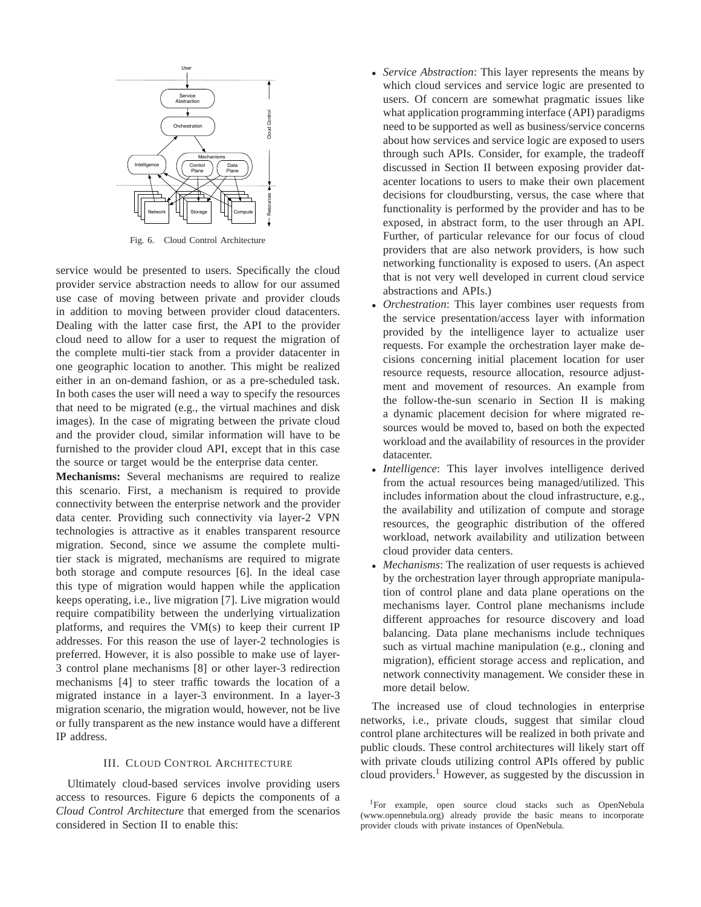

Fig. 6. Cloud Control Architecture

service would be presented to users. Specifically the cloud provider service abstraction needs to allow for our assumed use case of moving between private and provider clouds in addition to moving between provider cloud datacenters. Dealing with the latter case first, the API to the provider cloud need to allow for a user to request the migration of the complete multi-tier stack from a provider datacenter in one geographic location to another. This might be realized either in an on-demand fashion, or as a pre-scheduled task. In both cases the user will need a way to specify the resources that need to be migrated (e.g., the virtual machines and disk images). In the case of migrating between the private cloud and the provider cloud, similar information will have to be furnished to the provider cloud API, except that in this case the source or target would be the enterprise data center.

**Mechanisms:** Several mechanisms are required to realize this scenario. First, a mechanism is required to provide connectivity between the enterprise network and the provider data center. Providing such connectivity via layer-2 VPN technologies is attractive as it enables transparent resource migration. Second, since we assume the complete multitier stack is migrated, mechanisms are required to migrate both storage and compute resources [6]. In the ideal case this type of migration would happen while the application keeps operating, i.e., live migration [7]. Live migration would require compatibility between the underlying virtualization platforms, and requires the VM(s) to keep their current IP addresses. For this reason the use of layer-2 technologies is preferred. However, it is also possible to make use of layer-3 control plane mechanisms [8] or other layer-3 redirection mechanisms [4] to steer traffic towards the location of a migrated instance in a layer-3 environment. In a layer-3 migration scenario, the migration would, however, not be live or fully transparent as the new instance would have a different IP address.

# III. CLOUD CONTROL ARCHITECTURE

Ultimately cloud-based services involve providing users access to resources. Figure 6 depicts the components of a *Cloud Control Architecture* that emerged from the scenarios considered in Section II to enable this:

- *Service Abstraction*: This layer represents the means by which cloud services and service logic are presented to users. Of concern are somewhat pragmatic issues like what application programming interface (API) paradigms need to be supported as well as business/service concerns about how services and service logic are exposed to users through such APIs. Consider, for example, the tradeoff discussed in Section II between exposing provider datacenter locations to users to make their own placement decisions for cloudbursting, versus, the case where that functionality is performed by the provider and has to be exposed, in abstract form, to the user through an API. Further, of particular relevance for our focus of cloud providers that are also network providers, is how such networking functionality is exposed to users. (An aspect that is not very well developed in current cloud service abstractions and APIs.)
- *Orchestration*: This layer combines user requests from the service presentation/access layer with information provided by the intelligence layer to actualize user requests. For example the orchestration layer make decisions concerning initial placement location for user resource requests, resource allocation, resource adjustment and movement of resources. An example from the follow-the-sun scenario in Section II is making a dynamic placement decision for where migrated resources would be moved to, based on both the expected workload and the availability of resources in the provider datacenter.
- *Intelligence*: This layer involves intelligence derived from the actual resources being managed/utilized. This includes information about the cloud infrastructure, e.g., the availability and utilization of compute and storage resources, the geographic distribution of the offered workload, network availability and utilization between cloud provider data centers.
- *Mechanisms*: The realization of user requests is achieved by the orchestration layer through appropriate manipulation of control plane and data plane operations on the mechanisms layer. Control plane mechanisms include different approaches for resource discovery and load balancing. Data plane mechanisms include techniques such as virtual machine manipulation (e.g., cloning and migration), efficient storage access and replication, and network connectivity management. We consider these in more detail below.

The increased use of cloud technologies in enterprise networks, i.e., private clouds, suggest that similar cloud control plane architectures will be realized in both private and public clouds. These control architectures will likely start off with private clouds utilizing control APIs offered by public cloud providers.<sup>1</sup> However, as suggested by the discussion in

<sup>1</sup>For example, open source cloud stacks such as OpenNebula (www.opennebula.org) already provide the basic means to incorporate provider clouds with private instances of OpenNebula.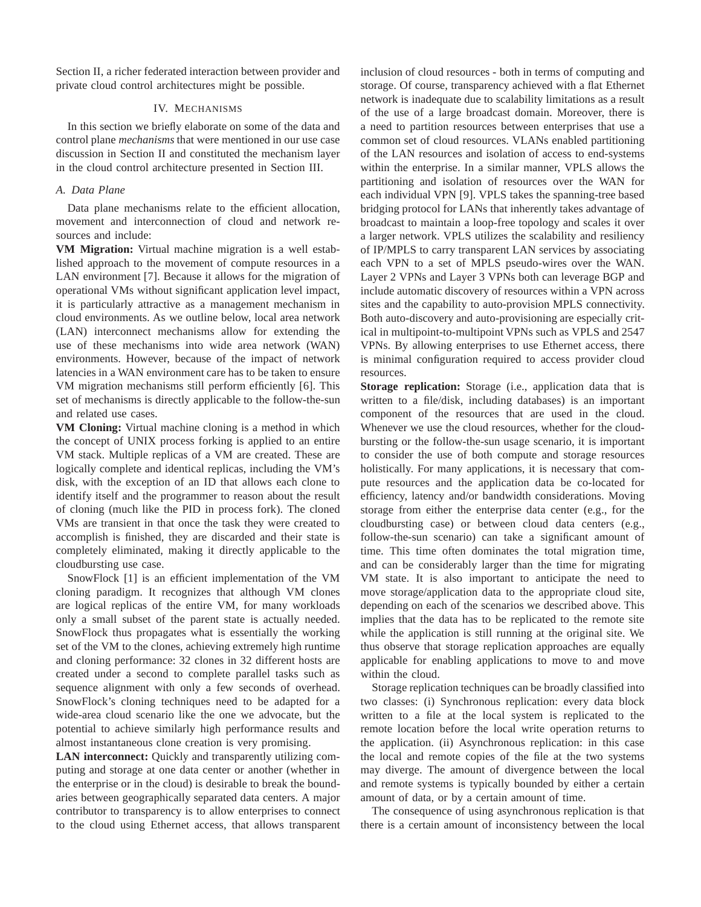Section II, a richer federated interaction between provider and private cloud control architectures might be possible.

## IV. MECHANISMS

In this section we briefly elaborate on some of the data and control plane *mechanisms* that were mentioned in our use case discussion in Section II and constituted the mechanism layer in the cloud control architecture presented in Section III.

## *A. Data Plane*

Data plane mechanisms relate to the efficient allocation, movement and interconnection of cloud and network resources and include:

**VM Migration:** Virtual machine migration is a well established approach to the movement of compute resources in a LAN environment [7]. Because it allows for the migration of operational VMs without significant application level impact, it is particularly attractive as a management mechanism in cloud environments. As we outline below, local area network (LAN) interconnect mechanisms allow for extending the use of these mechanisms into wide area network (WAN) environments. However, because of the impact of network latencies in a WAN environment care has to be taken to ensure VM migration mechanisms still perform efficiently [6]. This set of mechanisms is directly applicable to the follow-the-sun and related use cases.

**VM Cloning:** Virtual machine cloning is a method in which the concept of UNIX process forking is applied to an entire VM stack. Multiple replicas of a VM are created. These are logically complete and identical replicas, including the VM's disk, with the exception of an ID that allows each clone to identify itself and the programmer to reason about the result of cloning (much like the PID in process fork). The cloned VMs are transient in that once the task they were created to accomplish is finished, they are discarded and their state is completely eliminated, making it directly applicable to the cloudbursting use case.

SnowFlock [1] is an efficient implementation of the VM cloning paradigm. It recognizes that although VM clones are logical replicas of the entire VM, for many workloads only a small subset of the parent state is actually needed. SnowFlock thus propagates what is essentially the working set of the VM to the clones, achieving extremely high runtime and cloning performance: 32 clones in 32 different hosts are created under a second to complete parallel tasks such as sequence alignment with only a few seconds of overhead. SnowFlock's cloning techniques need to be adapted for a wide-area cloud scenario like the one we advocate, but the potential to achieve similarly high performance results and almost instantaneous clone creation is very promising.

**LAN interconnect:** Quickly and transparently utilizing computing and storage at one data center or another (whether in the enterprise or in the cloud) is desirable to break the boundaries between geographically separated data centers. A major contributor to transparency is to allow enterprises to connect to the cloud using Ethernet access, that allows transparent inclusion of cloud resources - both in terms of computing and storage. Of course, transparency achieved with a flat Ethernet network is inadequate due to scalability limitations as a result of the use of a large broadcast domain. Moreover, there is a need to partition resources between enterprises that use a common set of cloud resources. VLANs enabled partitioning of the LAN resources and isolation of access to end-systems within the enterprise. In a similar manner, VPLS allows the partitioning and isolation of resources over the WAN for each individual VPN [9]. VPLS takes the spanning-tree based bridging protocol for LANs that inherently takes advantage of broadcast to maintain a loop-free topology and scales it over a larger network. VPLS utilizes the scalability and resiliency of IP/MPLS to carry transparent LAN services by associating each VPN to a set of MPLS pseudo-wires over the WAN. Layer 2 VPNs and Layer 3 VPNs both can leverage BGP and include automatic discovery of resources within a VPN across sites and the capability to auto-provision MPLS connectivity. Both auto-discovery and auto-provisioning are especially critical in multipoint-to-multipoint VPNs such as VPLS and 2547 VPNs. By allowing enterprises to use Ethernet access, there is minimal configuration required to access provider cloud resources.

**Storage replication:** Storage (i.e., application data that is written to a file/disk, including databases) is an important component of the resources that are used in the cloud. Whenever we use the cloud resources, whether for the cloudbursting or the follow-the-sun usage scenario, it is important to consider the use of both compute and storage resources holistically. For many applications, it is necessary that compute resources and the application data be co-located for efficiency, latency and/or bandwidth considerations. Moving storage from either the enterprise data center (e.g., for the cloudbursting case) or between cloud data centers (e.g., follow-the-sun scenario) can take a significant amount of time. This time often dominates the total migration time, and can be considerably larger than the time for migrating VM state. It is also important to anticipate the need to move storage/application data to the appropriate cloud site, depending on each of the scenarios we described above. This implies that the data has to be replicated to the remote site while the application is still running at the original site. We thus observe that storage replication approaches are equally applicable for enabling applications to move to and move within the cloud.

Storage replication techniques can be broadly classified into two classes: (i) Synchronous replication: every data block written to a file at the local system is replicated to the remote location before the local write operation returns to the application. (ii) Asynchronous replication: in this case the local and remote copies of the file at the two systems may diverge. The amount of divergence between the local and remote systems is typically bounded by either a certain amount of data, or by a certain amount of time.

The consequence of using asynchronous replication is that there is a certain amount of inconsistency between the local